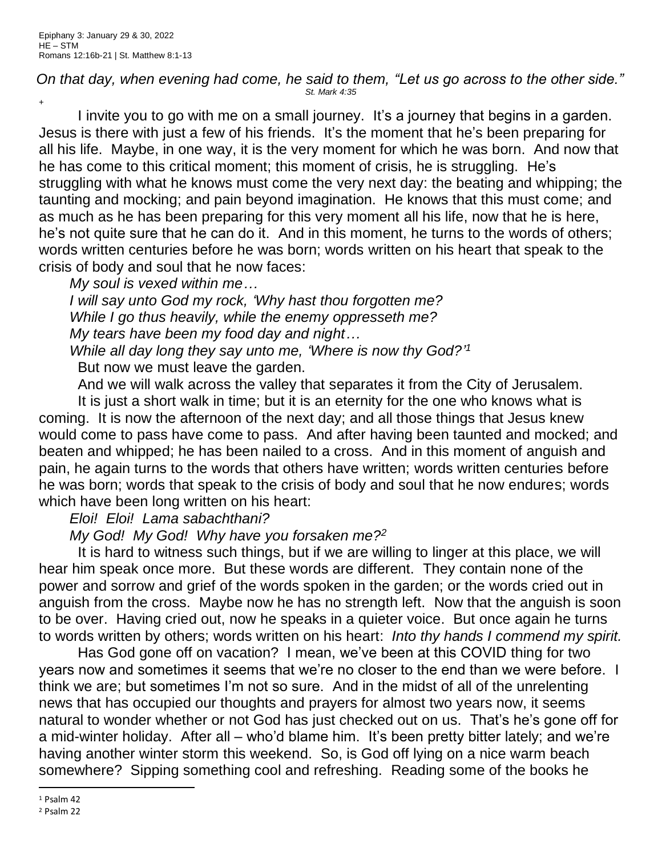## *On that day, when evening had come, he said to them, "Let us go across to the other side." St. Mark 4:35* +

I invite you to go with me on a small journey. It's a journey that begins in a garden. Jesus is there with just a few of his friends. It's the moment that he's been preparing for all his life. Maybe, in one way, it is the very moment for which he was born. And now that he has come to this critical moment; this moment of crisis, he is struggling. He's struggling with what he knows must come the very next day: the beating and whipping; the taunting and mocking; and pain beyond imagination. He knows that this must come; and as much as he has been preparing for this very moment all his life, now that he is here, he's not quite sure that he can do it. And in this moment, he turns to the words of others; words written centuries before he was born; words written on his heart that speak to the crisis of body and soul that he now faces:

*My soul is vexed within me…*

*I will say unto God my rock, 'Why hast thou forgotten me? While I go thus heavily, while the enemy oppresseth me? My tears have been my food day and night…*

*While all day long they say unto me, 'Where is now thy God?' 1* But now we must leave the garden.

And we will walk across the valley that separates it from the City of Jerusalem.

It is just a short walk in time; but it is an eternity for the one who knows what is coming. It is now the afternoon of the next day; and all those things that Jesus knew would come to pass have come to pass. And after having been taunted and mocked; and beaten and whipped; he has been nailed to a cross. And in this moment of anguish and pain, he again turns to the words that others have written; words written centuries before he was born; words that speak to the crisis of body and soul that he now endures; words which have been long written on his heart:

*Eloi! Eloi! Lama sabachthani?*

*My God! My God! Why have you forsaken me?<sup>2</sup>*

It is hard to witness such things, but if we are willing to linger at this place, we will hear him speak once more. But these words are different. They contain none of the power and sorrow and grief of the words spoken in the garden; or the words cried out in anguish from the cross. Maybe now he has no strength left. Now that the anguish is soon to be over. Having cried out, now he speaks in a quieter voice. But once again he turns to words written by others; words written on his heart: *Into thy hands I commend my spirit.*

Has God gone off on vacation? I mean, we've been at this COVID thing for two years now and sometimes it seems that we're no closer to the end than we were before. I think we are; but sometimes I'm not so sure. And in the midst of all of the unrelenting news that has occupied our thoughts and prayers for almost two years now, it seems natural to wonder whether or not God has just checked out on us. That's he's gone off for a mid-winter holiday. After all – who'd blame him. It's been pretty bitter lately; and we're having another winter storm this weekend. So, is God off lying on a nice warm beach somewhere? Sipping something cool and refreshing. Reading some of the books he

<sup>1</sup> Psalm 42

<sup>2</sup> Psalm 22